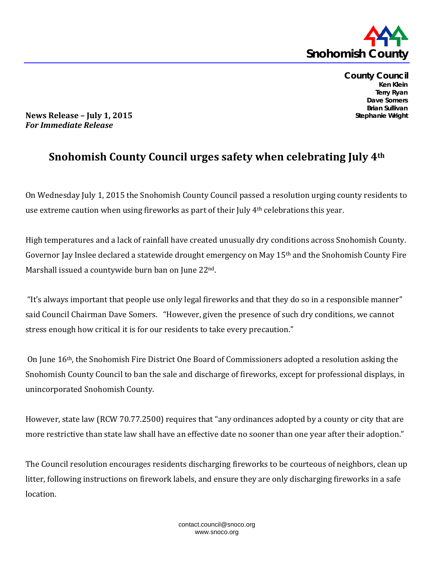

**County Council Ken Klein Terry Ryan Dave Somers Brian Sullivan Stephanie Wright**

**News Release – July 1, 2015** *For Immediate Release*

## **Snohomish County Council urges safety when celebrating July 4th**

On Wednesday July 1, 2015 the Snohomish County Council passed a resolution urging county residents to use extreme caution when using fireworks as part of their July 4<sup>th</sup> celebrations this year.

High temperatures and a lack of rainfall have created unusually dry conditions across Snohomish County. Governor Jay Inslee declared a statewide drought emergency on May 15th and the Snohomish County Fire Marshall issued a countywide burn ban on June 22nd.

"It's always important that people use only legal fireworks and that they do so in a responsible manner" said Council Chairman Dave Somers. "However, given the presence of such dry conditions, we cannot stress enough how critical it is for our residents to take every precaution."

On June 16th, the Snohomish Fire District One Board of Commissioners adopted a resolution asking the Snohomish County Council to ban the sale and discharge of fireworks, except for professional displays, in unincorporated Snohomish County.

However, state law (RCW 70.77.2500) requires that "any ordinances adopted by a county or city that are more restrictive than state law shall have an effective date no sooner than one year after their adoption."

The Council resolution encourages residents discharging fireworks to be courteous of neighbors, clean up litter, following instructions on firework labels, and ensure they are only discharging fireworks in a safe location.